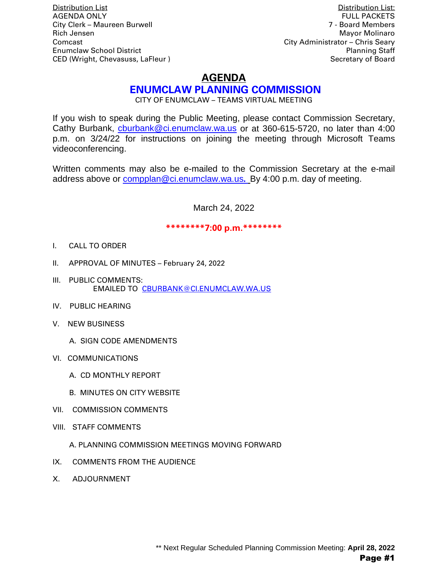Distribution List Distribution List: **AGENDA ONLY** City Clerk – Maureen Burwell 7 - Board Members Rich Jensen Mayor Molinaro New York 1989, New York 1989, New York 1989, New York 1989, New York 1989, New York 1989 Comcast City Administrator – Chris Seary Enumclaw School District Planning Staff CED (Wright, Chevasuss, LaFleur ) Secretary of Board Secretary of Board

# **AGENDA**

# **ENUMCLAW PLANNING COMMISSION**

CITY OF ENUMCLAW – TEAMS VIRTUAL MEETING

If you wish to speak during the Public Meeting, please contact Commission Secretary, Cathy Burbank, [cburbank@ci.enumclaw.wa.us](mailto:cburbank@ci.enumclaw.wa.us) or at 360-615-5720, no later than 4:00 p.m. on 3/24/22 for instructions on joining the meeting through Microsoft Teams videoconferencing.

Written comments may also be e-mailed to the Commission Secretary at the e-mail address above or [compplan@ci.enumclaw.wa.us](mailto:compplan@ci.enumclaw.wa.us)**.** By 4:00 p.m. day of meeting.

March 24, 2022

#### **\*\*\*\*\*\*\*\*7:00 p.m.\*\*\*\*\*\*\*\***

- I. CALL TO ORDER
- II. APPROVAL OF MINUTES February 24, 2022
- III. PUBLIC COMMENTS: EMAILED TO [CBURBANK@CI.ENUMCLAW.WA.US](mailto:CBURBANK@CI.ENUMCLAW.WA.US)
- IV. PUBLIC HEARING
- V. NEW BUSINESS
	- A. SIGN CODE AMENDMENTS
- VI. COMMUNICATIONS
	- A. CD MONTHLY REPORT
	- B. MINUTES ON CITY WEBSITE
- VII. COMMISSION COMMENTS
- VIII. STAFF COMMENTS
	- A. PLANNING COMMISSION MEETINGS MOVING FORWARD
- IX. COMMENTS FROM THE AUDIENCE
- X. ADJOURNMENT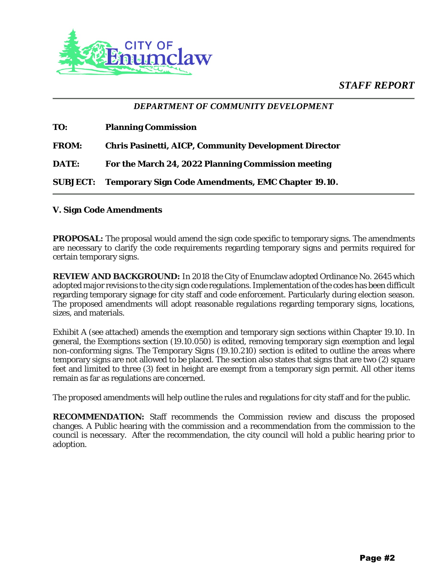# *STAFF REPORT*



## *DEPARTMENT OF COMMUNITY DEVELOPMENT*

| TO:             | <b>Planning Commission</b>                                   |
|-----------------|--------------------------------------------------------------|
| <b>FROM:</b>    | <b>Chris Pasinetti, AICP, Community Development Director</b> |
| <b>DATE:</b>    | For the March 24, 2022 Planning Commission meeting           |
| <b>SUBJECT:</b> | <b>Temporary Sign Code Amendments, EMC Chapter 19.10.</b>    |

#### **V. Sign Code Amendments**

**PROPOSAL:** The proposal would amend the sign code specific to temporary signs. The amendments are necessary to clarify the code requirements regarding temporary signs and permits required for certain temporary signs.

**REVIEW AND BACKGROUND:** In 2018 the City of Enumclaw adopted Ordinance No. 2645 which adopted major revisions to the city sign code regulations. Implementation of the codes has been difficult regarding temporary signage for city staff and code enforcement. Particularly during election season. The proposed amendments will adopt reasonable regulations regarding temporary signs, locations, sizes, and materials.

Exhibit A (see attached) amends the exemption and temporary sign sections within Chapter 19.10. In general, the Exemptions section (19.10.050) is edited, removing temporary sign exemption and legal non-conforming signs. The Temporary Signs (19.10.210) section is edited to outline the areas where temporary signs are not allowed to be placed. The section also states that signs that are two (2) square feet and limited to three (3) feet in height are exempt from a temporary sign permit. All other items remain as far as regulations are concerned.

The proposed amendments will help outline the rules and regulations for city staff and for the public.

**RECOMMENDATION:** Staff recommends the Commission review and discuss the proposed changes. A Public hearing with the commission and a recommendation from the commission to the council is necessary. After the recommendation, the city council will hold a public hearing prior to adoption.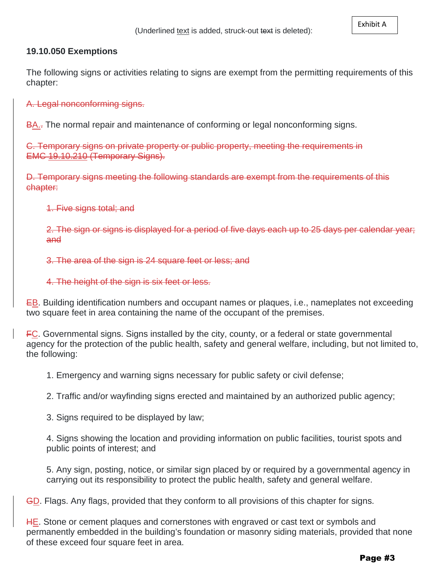### **19.10.050 Exemptions**

The following signs or activities relating to signs are exempt from the permitting requirements of this chapter:

A. Legal nonconforming signs.

BA... The normal repair and maintenance of conforming or legal nonconforming signs.

C. Temporary signs on private property or public property, meeting the requirements in EMC 19.10.210 (Temporary Signs).

D. Temporary signs meeting the following standards are exempt from the requirements of this chapter:

1. Five signs total; and

2. The sign or signs is displayed for a period of five days each up to 25 days per calendar year; and

3. The area of the sign is 24 square feet or less; and

4. The height of the sign is six feet or less.

EB. Building identification numbers and occupant names or plaques, i.e., nameplates not exceeding two square feet in area containing the name of the occupant of the premises.

FC. Governmental signs. Signs installed by the city, county, or a federal or state governmental agency for the protection of the public health, safety and general welfare, including, but not limited to, the following:

1. Emergency and warning signs necessary for public safety or civil defense;

2. Traffic and/or wayfinding signs erected and maintained by an authorized public agency;

3. Signs required to be displayed by law;

4. Signs showing the location and providing information on public facilities, tourist spots and public points of interest; and

5. Any sign, posting, notice, or similar sign placed by or required by a governmental agency in carrying out its responsibility to protect the public health, safety and general welfare.

GD. Flags. Any flags, provided that they conform to all provisions of this chapter for signs.

HE. Stone or cement plaques and cornerstones with engraved or cast text or symbols and permanently embedded in the building's foundation or masonry siding materials, provided that none of these exceed four square feet in area.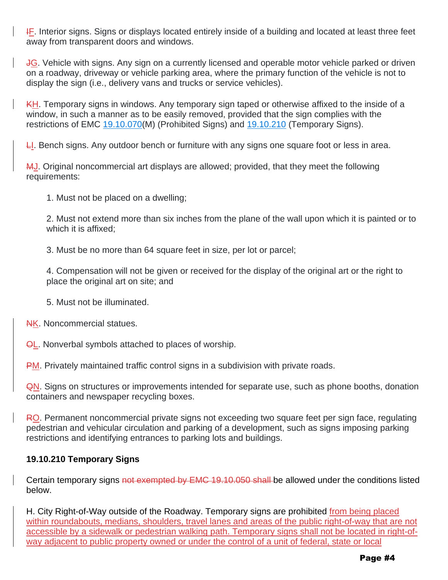**IF.** Interior signs. Signs or displays located entirely inside of a building and located at least three feet away from transparent doors and windows.

JG. Vehicle with signs. Any sign on a currently licensed and operable motor vehicle parked or driven on a roadway, driveway or vehicle parking area, where the primary function of the vehicle is not to display the sign (i.e., delivery vans and trucks or service vehicles).

KH. Temporary signs in windows. Any temporary sign taped or otherwise affixed to the inside of a window, in such a manner as to be easily removed, provided that the sign complies with the restrictions of EMC [19.10.070\(](https://www.codepublishing.com/WA/Enumclaw/#!/Enumclaw19/Enumclaw1910.html#19.10.070)M) (Prohibited Signs) and [19.10.210](https://www.codepublishing.com/WA/Enumclaw/#!/Enumclaw19/Enumclaw1910.html#19.10.210) (Temporary Signs).

 $L$ . Bench signs. Any outdoor bench or furniture with any signs one square foot or less in area.

MJ. Original noncommercial art displays are allowed; provided, that they meet the following requirements:

1. Must not be placed on a dwelling;

2. Must not extend more than six inches from the plane of the wall upon which it is painted or to which it is affixed;

3. Must be no more than 64 square feet in size, per lot or parcel;

4. Compensation will not be given or received for the display of the original art or the right to place the original art on site; and

- 5. Must not be illuminated.
- NK. Noncommercial statues.

**OL.** Nonverbal symbols attached to places of worship.

**PM.** Privately maintained traffic control signs in a subdivision with private roads.

QN. Signs on structures or improvements intended for separate use, such as phone booths, donation containers and newspaper recycling boxes.

RO. Permanent noncommercial private signs not exceeding two square feet per sign face, regulating pedestrian and vehicular circulation and parking of a development, such as signs imposing parking restrictions and identifying entrances to parking lots and buildings.

## **19.10.210 Temporary Signs**

Certain temporary signs not exempted by EMC 19.10.050 shall-be allowed under the conditions listed below.

H. City Right-of-Way outside of the Roadway. Temporary signs are prohibited from being placed within roundabouts, medians, shoulders, travel lanes and areas of the public right-of-way that are not accessible by a sidewalk or pedestrian walking path. Temporary signs shall not be located in right-ofway adjacent to public property owned or under the control of a unit of federal, state or local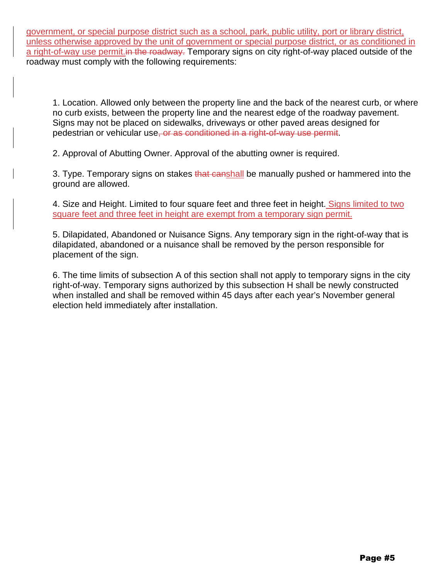government, or special purpose district such as a school, park, public utility, port or library district, unless otherwise approved by the unit of government or special purpose district, or as conditioned in a right-of-way use permit. in the roadway. Temporary signs on city right-of-way placed outside of the roadway must comply with the following requirements:

1. Location. Allowed only between the property line and the back of the nearest curb, or where no curb exists, between the property line and the nearest edge of the roadway pavement. Signs may not be placed on sidewalks, driveways or other paved areas designed for pedestrian or vehicular use, or as conditioned in a right-of-way use permit.

2. Approval of Abutting Owner. Approval of the abutting owner is required.

3. Type. Temporary signs on stakes that canshall be manually pushed or hammered into the ground are allowed.

4. Size and Height. Limited to four square feet and three feet in height. Signs limited to two square feet and three feet in height are exempt from a temporary sign permit.

5. Dilapidated, Abandoned or Nuisance Signs. Any temporary sign in the right-of-way that is dilapidated, abandoned or a nuisance shall be removed by the person responsible for placement of the sign.

6. The time limits of subsection A of this section shall not apply to temporary signs in the city right-of-way. Temporary signs authorized by this subsection H shall be newly constructed when installed and shall be removed within 45 days after each year's November general election held immediately after installation.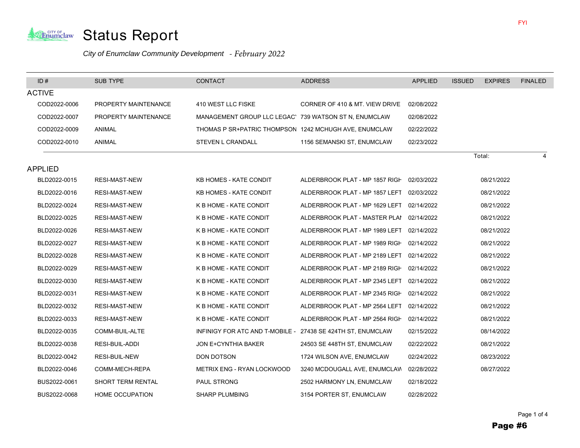

#### *City of Enumclaw Community Development - February 2022*

| ID#            | <b>SUB TYPE</b>        | <b>CONTACT</b>                                              | <b>ADDRESS</b>                            | <b>APPLIED</b> | <b>ISSUED</b><br><b>EXPIRES</b> | <b>FINALED</b> |
|----------------|------------------------|-------------------------------------------------------------|-------------------------------------------|----------------|---------------------------------|----------------|
| <b>ACTIVE</b>  |                        |                                                             |                                           |                |                                 |                |
| COD2022-0006   | PROPERTY MAINTENANCE   | 410 WEST LLC FISKE                                          | CORNER OF 410 & MT. VIEW DRIVE            | 02/08/2022     |                                 |                |
| COD2022-0007   | PROPERTY MAINTENANCE   | MANAGEMENT GROUP LLC LEGAC' 739 WATSON ST N, ENUMCLAW       |                                           | 02/08/2022     |                                 |                |
| COD2022-0009   | ANIMAL                 | THOMAS P SR+PATRIC THOMPSON 1242 MCHUGH AVE, ENUMCLAW       |                                           | 02/22/2022     |                                 |                |
| COD2022-0010   | ANIMAL                 | STEVEN L CRANDALL                                           | 1156 SEMANSKI ST, ENUMCLAW                | 02/23/2022     |                                 |                |
|                |                        |                                                             |                                           |                | Total:                          |                |
| <b>APPLIED</b> |                        |                                                             |                                           |                |                                 |                |
| BLD2022-0015   | <b>RESI-MAST-NEW</b>   | <b>KB HOMES - KATE CONDIT</b>                               | ALDERBROOK PLAT - MP 1857 RIGH            | 02/03/2022     | 08/21/2022                      |                |
| BLD2022-0016   | RESI-MAST-NEW          | <b>KB HOMES - KATE CONDIT</b>                               | ALDERBROOK PLAT - MP 1857 LEFT            | 02/03/2022     | 08/21/2022                      |                |
| BLD2022-0024   | RESI-MAST-NEW          | K B HOME - KATE CONDIT                                      | ALDERBROOK PLAT - MP 1629 LEFT            | 02/14/2022     | 08/21/2022                      |                |
| BLD2022-0025   | RESI-MAST-NEW          | K B HOME - KATE CONDIT                                      | ALDERBROOK PLAT - MASTER PLAI 02/14/2022  |                | 08/21/2022                      |                |
| BLD2022-0026   | <b>RESI-MAST-NEW</b>   | K B HOME - KATE CONDIT                                      | ALDERBROOK PLAT - MP 1989 LEFT            | 02/14/2022     | 08/21/2022                      |                |
| BLD2022-0027   | <b>RESI-MAST-NEW</b>   | K B HOME - KATE CONDIT                                      | ALDERBROOK PLAT - MP 1989 RIGH 02/14/2022 |                | 08/21/2022                      |                |
| BLD2022-0028   | RESI-MAST-NEW          | K B HOME - KATE CONDIT                                      | ALDERBROOK PLAT - MP 2189 LEFT            | 02/14/2022     | 08/21/2022                      |                |
| BLD2022-0029   | <b>RESI-MAST-NEW</b>   | K B HOME - KATE CONDIT                                      | ALDERBROOK PLAT - MP 2189 RIGH            | 02/14/2022     | 08/21/2022                      |                |
| BLD2022-0030   | <b>RESI-MAST-NEW</b>   | K B HOME - KATE CONDIT                                      | ALDERBROOK PLAT - MP 2345 LEFT            | 02/14/2022     | 08/21/2022                      |                |
| BLD2022-0031   | <b>RESI-MAST-NEW</b>   | K B HOME - KATE CONDIT                                      | ALDERBROOK PLAT - MP 2345 RIGH            | 02/14/2022     | 08/21/2022                      |                |
| BLD2022-0032   | RESI-MAST-NEW          | K B HOME - KATE CONDIT                                      | ALDERBROOK PLAT - MP 2564 LEFT            | 02/14/2022     | 08/21/2022                      |                |
| BLD2022-0033   | RESI-MAST-NEW          | K B HOME - KATE CONDIT                                      | ALDERBROOK PLAT - MP 2564 RIGH            | 02/14/2022     | 08/21/2022                      |                |
| BLD2022-0035   | COMM-BUIL-ALTE         | INFINIGY FOR ATC AND T-MOBILE - 27438 SE 424TH ST, ENUMCLAW |                                           | 02/15/2022     | 08/14/2022                      |                |
| BLD2022-0038   | RESI-BUIL-ADDI         | <b>JON E+CYNTHIA BAKER</b>                                  | 24503 SE 448TH ST, ENUMCLAW               | 02/22/2022     | 08/21/2022                      |                |
| BLD2022-0042   | RESI-BUIL-NEW          | DON DOTSON                                                  | 1724 WILSON AVE, ENUMCLAW                 | 02/24/2022     | 08/23/2022                      |                |
| BLD2022-0046   | COMM-MECH-REPA         | METRIX ENG - RYAN LOCKWOOD                                  | 3240 MCDOUGALL AVE, ENUMCLAW              | 02/28/2022     | 08/27/2022                      |                |
| BUS2022-0061   | SHORT TERM RENTAL      | PAUL STRONG                                                 | 2502 HARMONY LN, ENUMCLAW                 | 02/18/2022     |                                 |                |
| BUS2022-0068   | <b>HOME OCCUPATION</b> | <b>SHARP PLUMBING</b>                                       | 3154 PORTER ST, ENUMCLAW                  | 02/28/2022     |                                 |                |

i<br>I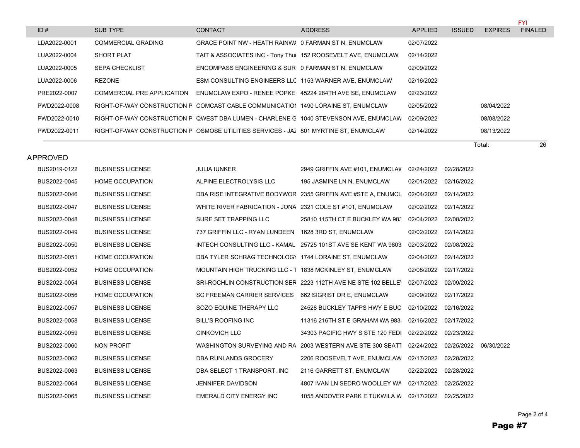|              |                           |                                                                                      |                                                                                       |            |               |                | <b>FYI</b>     |
|--------------|---------------------------|--------------------------------------------------------------------------------------|---------------------------------------------------------------------------------------|------------|---------------|----------------|----------------|
| ID#          | SUB TYPE                  | CONTACT                                                                              | <b>ADDRESS</b>                                                                        | APPLIED    | <b>ISSUED</b> | <b>EXPIRES</b> | <b>FINALED</b> |
| LDA2022-0001 | <b>COMMERCIAL GRADING</b> | GRACE POINT NW - HEATH RAINW/ 0 FARMAN ST N. ENUMCLAW                                |                                                                                       | 02/07/2022 |               |                |                |
| LUA2022-0004 | <b>SHORT PLAT</b>         | TAIT & ASSOCIATES INC - Tony Thui 152 ROOSEVELT AVE, ENUMCLAW                        |                                                                                       | 02/14/2022 |               |                |                |
| LUA2022-0005 | <b>SEPA CHECKLIST</b>     | ENCOMPASS ENGINEERING & SUR 0 FARMAN ST N. ENUMCLAW                                  |                                                                                       | 02/09/2022 |               |                |                |
| LUA2022-0006 | REZONE                    | ESM CONSULTING ENGINEERS LLC 1153 WARNER AVE, ENUMCLAW                               |                                                                                       | 02/16/2022 |               |                |                |
| PRE2022-0007 |                           | COMMERCIAL PRE APPLICATION ENUMCLAW EXPO - RENEE POPKE 45224 284TH AVE SE. ENUMCLAW  |                                                                                       | 02/23/2022 |               |                |                |
| PWD2022-0008 |                           | RIGHT-OF-WAY CONSTRUCTION P COMCAST CABLE COMMUNICATION 1490 LORAINE ST. ENUMCLAW    |                                                                                       | 02/05/2022 |               | 08/04/2022     |                |
| PWD2022-0010 |                           |                                                                                      | RIGHT-OF-WAY CONSTRUCTION P QWEST DBA LUMEN - CHARLENE G 1040 STEVENSON AVE. ENUMCLAW | 02/09/2022 |               | 08/08/2022     |                |
| PWD2022-0011 |                           | RIGHT-OF-WAY CONSTRUCTION P OSMOSE UTILITIES SERVICES - JAZ 801 MYRTINE ST. ENUMCLAW |                                                                                       | 02/14/2022 |               | 08/13/2022     |                |

Total: 26

| BUS2019-0122 | <b>BUSINESS LICENSE</b> | <b>JULIA IUNKER</b>                                        | 2949 GRIFFIN AVE #101, ENUMCLAV 02/24/2022 02/28/2022                              |                       |            |            |
|--------------|-------------------------|------------------------------------------------------------|------------------------------------------------------------------------------------|-----------------------|------------|------------|
| BUS2022-0045 | <b>HOME OCCUPATION</b>  | ALPINE ELECTROLYSIS LLC                                    | 195 JASMINE LN N, ENUMCLAW                                                         | 02/01/2022 02/16/2022 |            |            |
| BUS2022-0046 | <b>BUSINESS LICENSE</b> |                                                            | DBA RISE INTEGRATIVE BODYWOR 2355 GRIFFIN AVE #STE A, ENUMCL 02/04/2022 02/14/2022 |                       |            |            |
| BUS2022-0047 | <b>BUSINESS LICENSE</b> | WHITE RIVER FABRICATION - JONA 2321 COLE ST #101, ENUMCLAW |                                                                                    | 02/02/2022 02/14/2022 |            |            |
| BUS2022-0048 | <b>BUSINESS LICENSE</b> | SURE SET TRAPPING LLC                                      | 25810 115TH CT E BUCKLEY WA 983 02/04/2022 02/08/2022                              |                       |            |            |
| BUS2022-0049 | <b>BUSINESS LICENSE</b> | 737 GRIFFIN LLC - RYAN LUNDEEN 1628 3RD ST, ENUMCLAW       |                                                                                    | 02/02/2022 02/14/2022 |            |            |
| BUS2022-0050 | <b>BUSINESS LICENSE</b> |                                                            | INTECH CONSULTING LLC - KAMAL 25725 101ST AVE SE KENT WA 9803                      | 02/03/2022 02/08/2022 |            |            |
| BUS2022-0051 | <b>HOME OCCUPATION</b>  | DBA TYLER SCHRAG TECHNOLOG\ 1744 LORAINE ST, ENUMCLAW      |                                                                                    | 02/04/2022            | 02/14/2022 |            |
| BUS2022-0052 | <b>HOME OCCUPATION</b>  | MOUNTAIN HIGH TRUCKING LLC - T 1838 MCKINLEY ST, ENUMCLAW  |                                                                                    | 02/08/2022 02/17/2022 |            |            |
| BUS2022-0054 | <b>BUSINESS LICENSE</b> |                                                            | SRI-ROCHLIN CONSTRUCTION SER 2223 112TH AVE NE STE 102 BELLEY                      | 02/07/2022            | 02/09/2022 |            |
| BUS2022-0056 | <b>HOME OCCUPATION</b>  | SC FREEMAN CARRIER SERVICES   662 SIGRIST DR E, ENUMCLAW   |                                                                                    | 02/09/2022            | 02/17/2022 |            |
| BUS2022-0057 | <b>BUSINESS LICENSE</b> | SOZO EQUINE THERAPY LLC                                    | 24528 BUCKLEY TAPPS HWY E BUC 02/10/2022 02/16/2022                                |                       |            |            |
| BUS2022-0058 | <b>BUSINESS LICENSE</b> | <b>BILL'S ROOFING INC</b>                                  | 11316 216TH ST E GRAHAM WA 983; 02/16/2022 02/17/2022                              |                       |            |            |
| BUS2022-0059 | <b>BUSINESS LICENSE</b> | CINKOVICH LLC                                              | 34303 PACIFIC HWY S STE 120 FEDI 02/22/2022 02/23/2022                             |                       |            |            |
| BUS2022-0060 | NON PROFIT              |                                                            | WASHINGTON SURVEYING AND RA 2003 WESTERN AVE STE 300 SEATT                         | 02/24/2022            | 02/25/2022 | 06/30/2022 |
| BUS2022-0062 | <b>BUSINESS LICENSE</b> | DBA RUNLANDS GROCERY                                       | 2206 ROOSEVELT AVE, ENUMCLAW 02/17/2022 02/28/2022                                 |                       |            |            |
| BUS2022-0063 | <b>BUSINESS LICENSE</b> | DBA SELECT 1 TRANSPORT, INC                                | 2116 GARRETT ST, ENUMCLAW                                                          | 02/22/2022            | 02/28/2022 |            |
| BUS2022-0064 | <b>BUSINESS LICENSE</b> | <b>JENNIFER DAVIDSON</b>                                   | 4807 IVAN LN SEDRO WOOLLEY WA 02/17/2022                                           |                       | 02/25/2022 |            |
| BUS2022-0065 | <b>BUSINESS LICENSE</b> | EMERALD CITY ENERGY INC                                    | 1055 ANDOVER PARK E TUKWILA W 02/17/2022 02/25/2022                                |                       |            |            |

APPROVED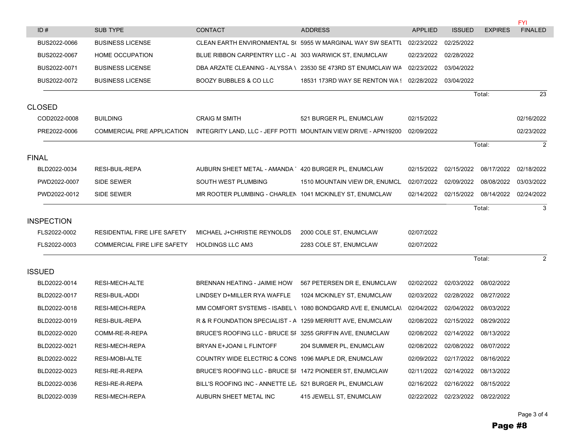|                   |                              |                                                            |                                                                        |                |                       |                | <b>FYI</b>     |
|-------------------|------------------------------|------------------------------------------------------------|------------------------------------------------------------------------|----------------|-----------------------|----------------|----------------|
| ID#               | SUB TYPE                     | <b>CONTACT</b>                                             | <b>ADDRESS</b>                                                         | <b>APPLIED</b> | <b>ISSUED</b>         | <b>EXPIRES</b> | <b>FINALED</b> |
| BUS2022-0066      | <b>BUSINESS LICENSE</b>      |                                                            | CLEAN EARTH ENVIRONMENTAL S( 5955 W MARGINAL WAY SW SEATTL             | 02/23/2022     | 02/25/2022            |                |                |
| BUS2022-0067      | HOME OCCUPATION              | BLUE RIBBON CARPENTRY LLC - AI 303 WARWICK ST, ENUMCLAW    |                                                                        | 02/23/2022     | 02/28/2022            |                |                |
| BUS2022-0071      | <b>BUSINESS LICENSE</b>      |                                                            | DBA ARZATE CLEANING - ALYSSA \ 23530 SE 473RD ST ENUMCLAW WA           | 02/23/2022     | 03/04/2022            |                |                |
| BUS2022-0072      | <b>BUSINESS LICENSE</b>      | BOOZY BUBBLES & CO LLC                                     | 18531 173RD WAY SE RENTON WA ( 02/28/2022                              |                | 03/04/2022            |                |                |
|                   |                              |                                                            |                                                                        |                |                       | Total:         | 23             |
| <b>CLOSED</b>     |                              |                                                            |                                                                        |                |                       |                |                |
| COD2022-0008      | <b>BUILDING</b>              | <b>CRAIG M SMITH</b>                                       | 521 BURGER PL, ENUMCLAW                                                | 02/15/2022     |                       |                | 02/16/2022     |
| PRE2022-0006      | COMMERCIAL PRE APPLICATION   |                                                            | INTEGRITY LAND, LLC - JEFF POTTI MOUNTAIN VIEW DRIVE - APN19200        | 02/09/2022     |                       |                | 02/23/2022     |
|                   |                              |                                                            |                                                                        |                |                       | Total:         | 2              |
| <b>FINAL</b>      |                              |                                                            |                                                                        |                |                       |                |                |
| BLD2022-0034      | RESI-BUIL-REPA               | AUBURN SHEET METAL - AMANDA 420 BURGER PL, ENUMCLAW        |                                                                        | 02/15/2022     | 02/15/2022 08/17/2022 |                | 02/18/2022     |
| PWD2022-0007      | SIDE SEWER                   | SOUTH WEST PLUMBING                                        | 1510 MOUNTAIN VIEW DR, ENUMCL                                          | 02/07/2022     | 02/09/2022 08/08/2022 |                | 03/03/2022     |
| PWD2022-0012      | SIDE SEWER                   | MR ROOTER PLUMBING - CHARLEN 1041 MCKINLEY ST, ENUMCLAW    |                                                                        | 02/14/2022     | 02/15/2022 08/14/2022 |                | 02/24/2022     |
|                   |                              |                                                            |                                                                        |                |                       | Total:         | 3              |
| <b>INSPECTION</b> |                              |                                                            |                                                                        |                |                       |                |                |
| FLS2022-0002      | RESIDENTIAL FIRE LIFE SAFETY | MICHAEL J+CHRISTIE REYNOLDS                                | 2000 COLE ST, ENUMCLAW                                                 | 02/07/2022     |                       |                |                |
| FLS2022-0003      | COMMERCIAL FIRE LIFE SAFETY  | <b>HOLDINGS LLC AM3</b>                                    | 2283 COLE ST, ENUMCLAW                                                 | 02/07/2022     |                       |                |                |
|                   |                              |                                                            |                                                                        |                |                       | Total:         | 2              |
| <b>ISSUED</b>     |                              |                                                            |                                                                        |                |                       |                |                |
| BLD2022-0014      | RESI-MECH-ALTE               | BRENNAN HEATING - JAIMIE HOW 567 PETERSEN DR E, ENUMCLAW   |                                                                        | 02/02/2022     | 02/03/2022 08/02/2022 |                |                |
| BLD2022-0017      | RESI-BUIL-ADDI               | LINDSEY D+MILLER RYA WAFFLE                                | 1024 MCKINLEY ST, ENUMCLAW                                             | 02/03/2022     | 02/28/2022 08/27/2022 |                |                |
| BLD2022-0018      | RESI-MECH-REPA               |                                                            | MM COMFORT SYSTEMS - ISABEL \ 1080 BONDGARD AVE E, ENUMCLA\ 02/04/2022 |                | 02/04/2022            | 08/03/2022     |                |
| BLD2022-0019      | RESI-BUIL-REPA               | R & R FOUNDATION SPECIALIST - A 1259 MERRITT AVE, ENUMCLAW |                                                                        | 02/08/2022     | 02/15/2022            | 08/29/2022     |                |
| BLD2022-0020      | COMM-RE-R-REPA               | BRUCE'S ROOFING LLC - BRUCE SF 3255 GRIFFIN AVE, ENUMCLAW  |                                                                        | 02/08/2022     | 02/14/2022            | 08/13/2022     |                |
| BLD2022-0021      | RESI-MECH-REPA               | BRYAN E+JOANI L FLINTOFF                                   | 204 SUMMER PL, ENUMCLAW                                                | 02/08/2022     | 02/08/2022            | 08/07/2022     |                |
| BLD2022-0022      | RESI-MOBI-ALTE               | COUNTRY WIDE ELECTRIC & CONS 1096 MAPLE DR, ENUMCLAW       |                                                                        | 02/09/2022     | 02/17/2022            | 08/16/2022     |                |
| BLD2022-0023      | RESI-RE-R-REPA               | BRUCE'S ROOFING LLC - BRUCE SF 1472 PIONEER ST, ENUMCLAW   |                                                                        | 02/11/2022     | 02/14/2022            | 08/13/2022     |                |
| BLD2022-0036      | RESI-RE-R-REPA               | BILL'S ROOFING INC - ANNETTE LE. 521 BURGER PL, ENUMCLAW   |                                                                        | 02/16/2022     | 02/16/2022            | 08/15/2022     |                |
| BLD2022-0039      | <b>RESI-MECH-REPA</b>        | AUBURN SHEET METAL INC                                     | 415 JEWELL ST, ENUMCLAW                                                | 02/22/2022     | 02/23/2022 08/22/2022 |                |                |

Page 3 of 4